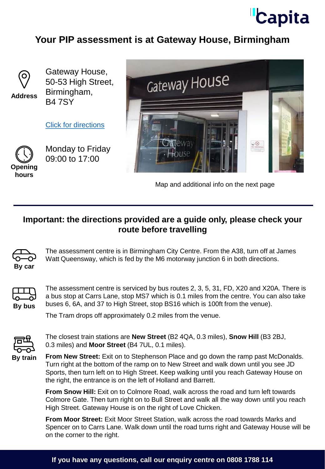

## **Your PIP assessment is at Gateway House, Birmingham**



**Address**

Gateway House, 50-53 High Street, Birmingham, B4 7SY

[Click for directions](https://goo.gl/maps/NW9wB5pxZVhFRWQ17)



Monday to Friday 09:00 to 17:00

**hours**



Map and additional info on the next page

## **Important: the directions provided are a guide only, please check your route before travelling**



The assessment centre is in Birmingham City Centre. From the A38, turn off at James Watt Queensway, which is fed by the M6 motorway junction 6 in both directions.



The assessment centre is serviced by bus routes 2, 3, 5, 31, FD, X20 and X20A. There is a bus stop at Carrs Lane, stop MS7 which is 0.1 miles from the centre. You can also take buses 6, 6A, and 37 to High Street, stop BS16 which is 100ft from the venue).

The Tram drops off approximately 0.2 miles from the venue.



The closest train stations are **New Street** (B2 4QA, 0.3 miles), **Snow Hill** (B3 2BJ, 0.3 miles) and **Moor Street** (B4 7UL, 0.1 miles).

**From New Street:** Exit on to Stephenson Place and go down the ramp past McDonalds. Turn right at the bottom of the ramp on to New Street and walk down until you see JD Sports, then turn left on to High Street. Keep walking until you reach Gateway House on the right, the entrance is on the left of Holland and Barrett.

**From Snow Hill:** Exit on to Colmore Road, walk across the road and turn left towards Colmore Gate. Then turn right on to Bull Street and walk all the way down until you reach High Street. Gateway House is on the right of Love Chicken.

**From Moor Street:** Exit Moor Street Station, walk across the road towards Marks and Spencer on to Carrs Lane. Walk down until the road turns right and Gateway House will be on the corner to the right.